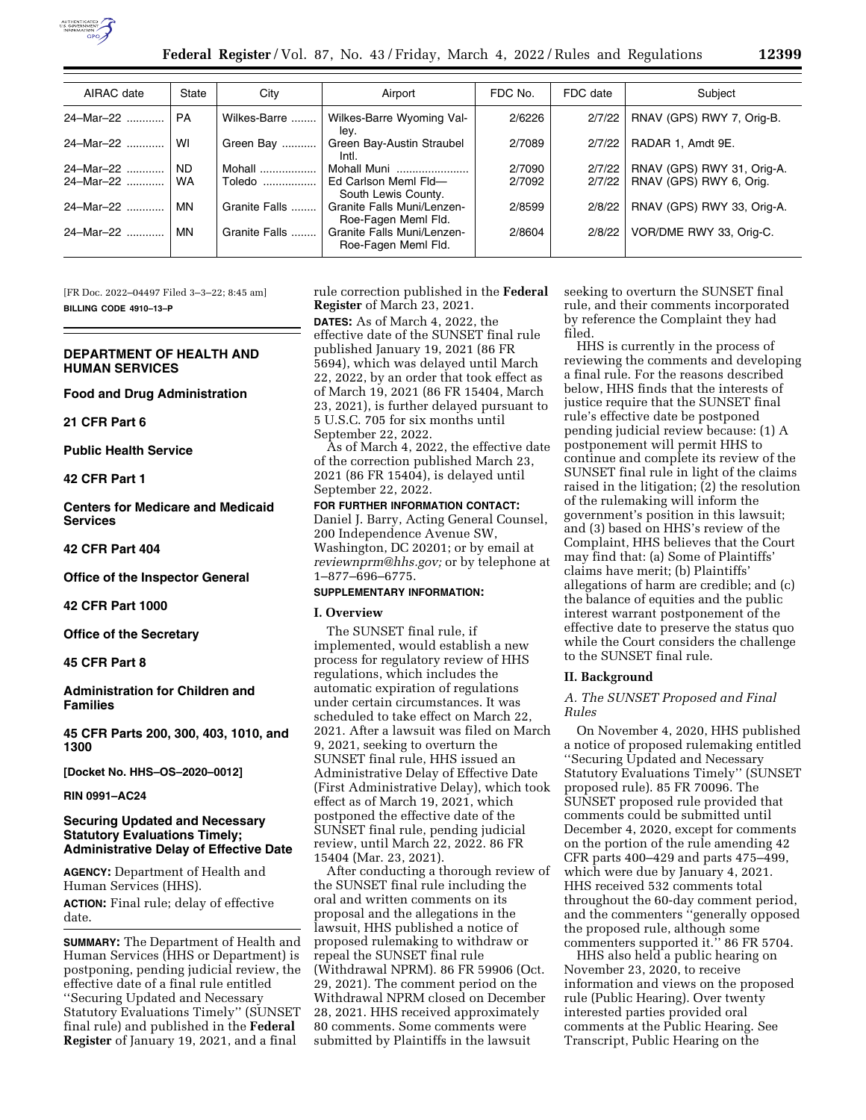

| AIRAC date     | State     | City          | Airport                                           | FDC No. | FDC date | Subject                    |
|----------------|-----------|---------------|---------------------------------------------------|---------|----------|----------------------------|
| 24-Mar-22      | <b>PA</b> | Wilkes-Barre  | Wilkes-Barre Wyoming Val-<br>lev.                 | 2/6226  | 2/7/22   | RNAV (GPS) RWY 7, Orig-B.  |
| 24-Mar-22      | WI        | Green Bay     | Green Bay-Austin Straubel<br>Intl.                | 2/7089  | 2/7/22   | RADAR 1. Amdt 9E.          |
| 24-Mar-22      | <b>ND</b> | Mohall        | Mohall Muni                                       | 2/7090  | 2/7/22   | RNAV (GPS) RWY 31, Orig-A. |
| 24-Mar-22      | <b>WA</b> | Toledo        | Ed Carlson Meml Fld-<br>South Lewis County.       | 2/7092  | 2/7/22   | RNAV (GPS) RWY 6, Orig.    |
| 24-Mar-22      | <b>MN</b> | Granite Falls | Granite Falls Muni/Lenzen-<br>Roe-Fagen Meml Fld. | 2/8599  | 2/8/22   | RNAV (GPS) RWY 33, Orig-A. |
| 24-Mar-22<br>. | MN        | Granite Falls | Granite Falls Muni/Lenzen-<br>Roe-Fagen Meml Fld. | 2/8604  | 2/8/22   | VOR/DME RWY 33, Orig-C.    |

[FR Doc. 2022–04497 Filed 3–3–22; 8:45 am] **BILLING CODE 4910–13–P** 

# **DEPARTMENT OF HEALTH AND HUMAN SERVICES**

**Food and Drug Administration** 

**21 CFR Part 6** 

**Public Health Service** 

## **42 CFR Part 1**

**Centers for Medicare and Medicaid Services** 

# **42 CFR Part 404**

**Office of the Inspector General** 

**42 CFR Part 1000** 

**Office of the Secretary** 

## **45 CFR Part 8**

**Administration for Children and Families** 

**45 CFR Parts 200, 300, 403, 1010, and 1300** 

**[Docket No. HHS–OS–2020–0012]** 

**RIN 0991–AC24** 

# **Securing Updated and Necessary Statutory Evaluations Timely; Administrative Delay of Effective Date**

**AGENCY:** Department of Health and Human Services (HHS). **ACTION:** Final rule; delay of effective date.

**SUMMARY:** The Department of Health and Human Services (HHS or Department) is postponing, pending judicial review, the effective date of a final rule entitled ''Securing Updated and Necessary Statutory Evaluations Timely'' (SUNSET final rule) and published in the **Federal Register** of January 19, 2021, and a final

rule correction published in the **Federal Register** of March 23, 2021. **DATES:** As of March 4, 2022, the effective date of the SUNSET final rule published January 19, 2021 (86 FR 5694), which was delayed until March 22, 2022, by an order that took effect as of March 19, 2021 (86 FR 15404, March 23, 2021), is further delayed pursuant to 5 U.S.C. 705 for six months until September 22, 2022.

As of March 4, 2022, the effective date of the correction published March 23, 2021 (86 FR 15404), is delayed until September 22, 2022.

#### **FOR FURTHER INFORMATION CONTACT:**

Daniel J. Barry, Acting General Counsel, 200 Independence Avenue SW, Washington, DC 20201; or by email at *[reviewnprm@hhs.gov;](mailto:reviewnprm@hhs.gov)* or by telephone at 1–877–696–6775.

## **SUPPLEMENTARY INFORMATION:**

## **I. Overview**

The SUNSET final rule, if implemented, would establish a new process for regulatory review of HHS regulations, which includes the automatic expiration of regulations under certain circumstances. It was scheduled to take effect on March 22, 2021. After a lawsuit was filed on March 9, 2021, seeking to overturn the SUNSET final rule, HHS issued an Administrative Delay of Effective Date (First Administrative Delay), which took effect as of March 19, 2021, which postponed the effective date of the SUNSET final rule, pending judicial review, until March 22, 2022. 86 FR 15404 (Mar. 23, 2021).

After conducting a thorough review of the SUNSET final rule including the oral and written comments on its proposal and the allegations in the lawsuit, HHS published a notice of proposed rulemaking to withdraw or repeal the SUNSET final rule (Withdrawal NPRM). 86 FR 59906 (Oct. 29, 2021). The comment period on the Withdrawal NPRM closed on December 28, 2021. HHS received approximately 80 comments. Some comments were submitted by Plaintiffs in the lawsuit

seeking to overturn the SUNSET final rule, and their comments incorporated by reference the Complaint they had filed.

HHS is currently in the process of reviewing the comments and developing a final rule. For the reasons described below, HHS finds that the interests of justice require that the SUNSET final rule's effective date be postponed pending judicial review because: (1) A postponement will permit HHS to continue and complete its review of the SUNSET final rule in light of the claims raised in the litigation; (2) the resolution of the rulemaking will inform the government's position in this lawsuit; and (3) based on HHS's review of the Complaint, HHS believes that the Court may find that: (a) Some of Plaintiffs' claims have merit; (b) Plaintiffs' allegations of harm are credible; and (c) the balance of equities and the public interest warrant postponement of the effective date to preserve the status quo while the Court considers the challenge to the SUNSET final rule.

## **II. Background**

*A. The SUNSET Proposed and Final Rules* 

On November 4, 2020, HHS published a notice of proposed rulemaking entitled ''Securing Updated and Necessary Statutory Evaluations Timely'' (SUNSET proposed rule). 85 FR 70096. The SUNSET proposed rule provided that comments could be submitted until December 4, 2020, except for comments on the portion of the rule amending 42 CFR parts 400–429 and parts 475–499, which were due by January 4, 2021. HHS received 532 comments total throughout the 60-day comment period, and the commenters ''generally opposed the proposed rule, although some commenters supported it.'' 86 FR 5704.

HHS also held a public hearing on November 23, 2020, to receive information and views on the proposed rule (Public Hearing). Over twenty interested parties provided oral comments at the Public Hearing. See Transcript, Public Hearing on the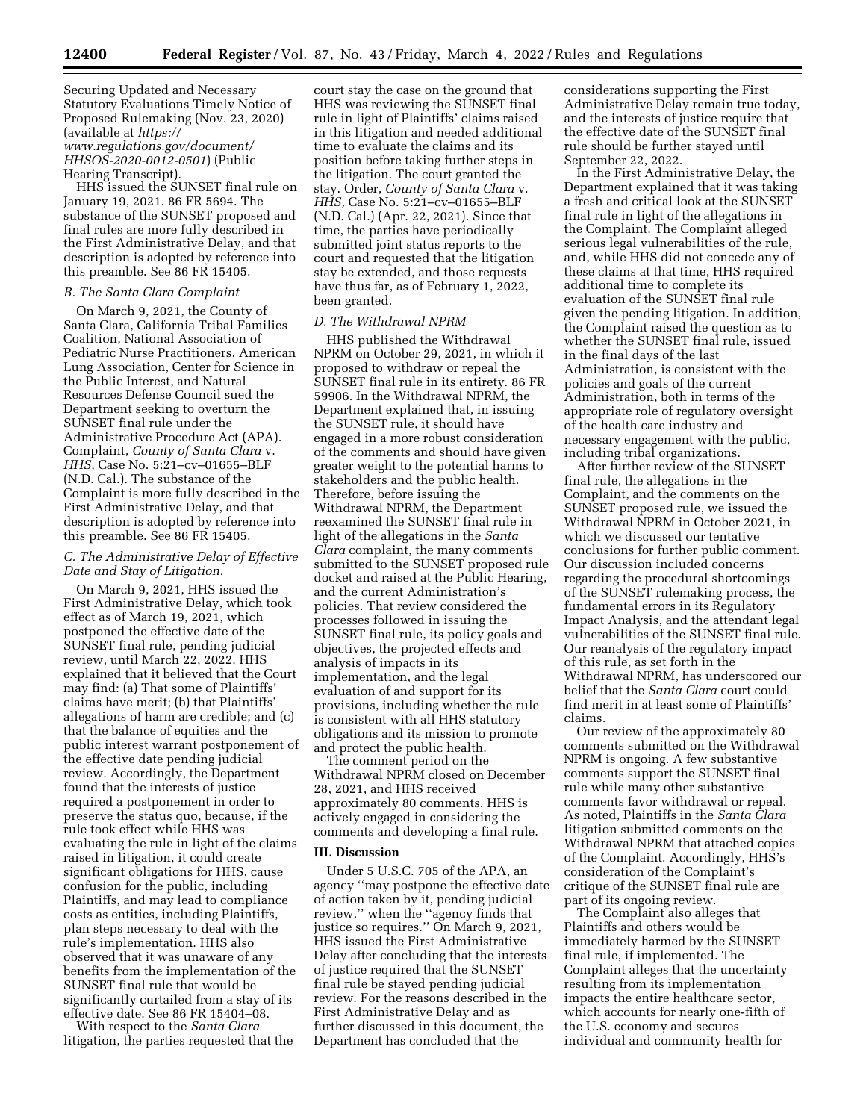Securing Updated and Necessary Statutory Evaluations Timely Notice of Proposed Rulemaking (Nov. 23, 2020) (available at *[https://](https://www.regulations.gov/document/HHSOS-2020-0012-0501) [www.regulations.gov/document/](https://www.regulations.gov/document/HHSOS-2020-0012-0501) [HHSOS-2020-0012-0501](https://www.regulations.gov/document/HHSOS-2020-0012-0501)*) (Public Hearing Transcript).

HHS issued the SUNSET final rule on January 19, 2021. 86 FR 5694. The substance of the SUNSET proposed and final rules are more fully described in the First Administrative Delay, and that description is adopted by reference into this preamble. See 86 FR 15405.

## *B. The Santa Clara Complaint*

On March 9, 2021, the County of Santa Clara, California Tribal Families Coalition, National Association of Pediatric Nurse Practitioners, American Lung Association, Center for Science in the Public Interest, and Natural Resources Defense Council sued the Department seeking to overturn the SUNSET final rule under the Administrative Procedure Act (APA). Complaint, *County of Santa Clara* v. *HHS,* Case No. 5:21–cv–01655–BLF (N.D. Cal.). The substance of the Complaint is more fully described in the First Administrative Delay, and that description is adopted by reference into this preamble. See 86 FR 15405.

## *C. The Administrative Delay of Effective Date and Stay of Litigation.*

On March 9, 2021, HHS issued the First Administrative Delay, which took effect as of March 19, 2021, which postponed the effective date of the SUNSET final rule, pending judicial review, until March 22, 2022. HHS explained that it believed that the Court may find: (a) That some of Plaintiffs' claims have merit; (b) that Plaintiffs' allegations of harm are credible; and (c) that the balance of equities and the public interest warrant postponement of the effective date pending judicial review. Accordingly, the Department found that the interests of justice required a postponement in order to preserve the status quo, because, if the rule took effect while HHS was evaluating the rule in light of the claims raised in litigation, it could create significant obligations for HHS, cause confusion for the public, including Plaintiffs, and may lead to compliance costs as entities, including Plaintiffs, plan steps necessary to deal with the rule's implementation. HHS also observed that it was unaware of any benefits from the implementation of the SUNSET final rule that would be significantly curtailed from a stay of its effective date. See 86 FR 15404–08.

With respect to the *Santa Clara*  litigation, the parties requested that the

court stay the case on the ground that HHS was reviewing the SUNSET final rule in light of Plaintiffs' claims raised in this litigation and needed additional time to evaluate the claims and its position before taking further steps in the litigation. The court granted the stay. Order, *County of Santa Clara* v. *HHS,* Case No. 5:21–cv–01655–BLF (N.D. Cal.) (Apr. 22, 2021). Since that time, the parties have periodically submitted joint status reports to the court and requested that the litigation stay be extended, and those requests have thus far, as of February 1, 2022, been granted.

#### *D. The Withdrawal NPRM*

HHS published the Withdrawal NPRM on October 29, 2021, in which it proposed to withdraw or repeal the SUNSET final rule in its entirety. 86 FR 59906. In the Withdrawal NPRM, the Department explained that, in issuing the SUNSET rule, it should have engaged in a more robust consideration of the comments and should have given greater weight to the potential harms to stakeholders and the public health. Therefore, before issuing the Withdrawal NPRM, the Department reexamined the SUNSET final rule in light of the allegations in the *Santa Clara* complaint, the many comments submitted to the SUNSET proposed rule docket and raised at the Public Hearing, and the current Administration's policies. That review considered the processes followed in issuing the SUNSET final rule, its policy goals and objectives, the projected effects and analysis of impacts in its implementation, and the legal evaluation of and support for its provisions, including whether the rule is consistent with all HHS statutory obligations and its mission to promote and protect the public health.

The comment period on the Withdrawal NPRM closed on December 28, 2021, and HHS received approximately 80 comments. HHS is actively engaged in considering the comments and developing a final rule.

#### **III. Discussion**

Under 5 U.S.C. 705 of the APA, an agency ''may postpone the effective date of action taken by it, pending judicial review,'' when the ''agency finds that justice so requires.'' On March 9, 2021, HHS issued the First Administrative Delay after concluding that the interests of justice required that the SUNSET final rule be stayed pending judicial review. For the reasons described in the First Administrative Delay and as further discussed in this document, the Department has concluded that the

considerations supporting the First Administrative Delay remain true today, and the interests of justice require that the effective date of the SUNSET final rule should be further stayed until September 22, 2022.

In the First Administrative Delay, the Department explained that it was taking a fresh and critical look at the SUNSET final rule in light of the allegations in the Complaint. The Complaint alleged serious legal vulnerabilities of the rule, and, while HHS did not concede any of these claims at that time, HHS required additional time to complete its evaluation of the SUNSET final rule given the pending litigation. In addition, the Complaint raised the question as to whether the SUNSET final rule, issued in the final days of the last Administration, is consistent with the policies and goals of the current Administration, both in terms of the appropriate role of regulatory oversight of the health care industry and necessary engagement with the public, including tribal organizations.

After further review of the SUNSET final rule, the allegations in the Complaint, and the comments on the SUNSET proposed rule, we issued the Withdrawal NPRM in October 2021, in which we discussed our tentative conclusions for further public comment. Our discussion included concerns regarding the procedural shortcomings of the SUNSET rulemaking process, the fundamental errors in its Regulatory Impact Analysis, and the attendant legal vulnerabilities of the SUNSET final rule. Our reanalysis of the regulatory impact of this rule, as set forth in the Withdrawal NPRM, has underscored our belief that the *Santa Clara* court could find merit in at least some of Plaintiffs' claims.

Our review of the approximately 80 comments submitted on the Withdrawal NPRM is ongoing. A few substantive comments support the SUNSET final rule while many other substantive comments favor withdrawal or repeal. As noted, Plaintiffs in the *Santa Clara*  litigation submitted comments on the Withdrawal NPRM that attached copies of the Complaint. Accordingly, HHS's consideration of the Complaint's critique of the SUNSET final rule are part of its ongoing review.

The Complaint also alleges that Plaintiffs and others would be immediately harmed by the SUNSET final rule, if implemented. The Complaint alleges that the uncertainty resulting from its implementation impacts the entire healthcare sector, which accounts for nearly one-fifth of the U.S. economy and secures individual and community health for